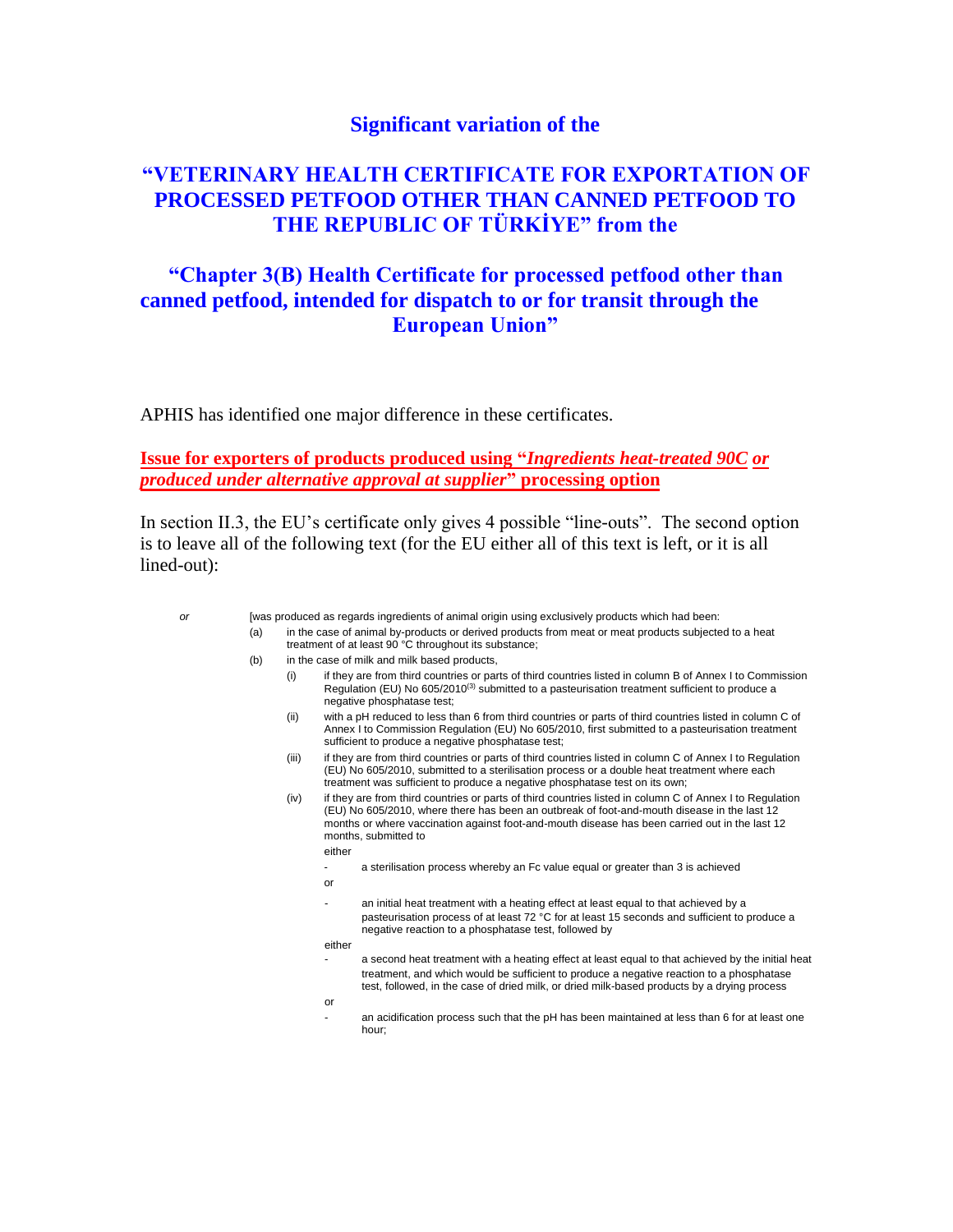## **Significant variation of the**

## **"VETERINARY HEALTH CERTIFICATE FOR EXPORTATION OF PROCESSED PETFOOD OTHER THAN CANNED PETFOOD TO THE REPUBLIC OF TÜRKİYE" from the**

## **"Chapter 3(B) Health Certificate for processed petfood other than canned petfood, intended for dispatch to or for transit through the European Union"**

APHIS has identified one major difference in these certificates.

**Issue for exporters of products produced using "***Ingredients heat-treated 90C or produced under alternative approval at supplier***" processing option** 

In section II.3, the EU's certificate only gives 4 possible "line-outs". The second option is to leave all of the following text (for the EU either all of this text is left, or it is all lined-out):

| or |     | [was produced as regards ingredients of animal origin using exclusively products which had been:                                                                                                                                                                                                                                          |
|----|-----|-------------------------------------------------------------------------------------------------------------------------------------------------------------------------------------------------------------------------------------------------------------------------------------------------------------------------------------------|
|    | (a) | in the case of animal by-products or derived products from meat or meat products subjected to a heat<br>treatment of at least 90 °C throughout its substance;                                                                                                                                                                             |
|    | (b) | in the case of milk and milk based products,                                                                                                                                                                                                                                                                                              |
|    |     | if they are from third countries or parts of third countries listed in column B of Annex I to Commission<br>(i)<br>Regulation (EU) No 605/2010 <sup>(3)</sup> submitted to a pasteurisation treatment sufficient to produce a<br>negative phosphatase test;                                                                               |
|    |     | with a pH reduced to less than 6 from third countries or parts of third countries listed in column C of<br>(ii)<br>Annex I to Commission Regulation (EU) No 605/2010, first submitted to a pasteurisation treatment<br>sufficient to produce a negative phosphatase test;                                                                 |
|    |     | if they are from third countries or parts of third countries listed in column C of Annex I to Regulation<br>(iii)<br>(EU) No 605/2010, submitted to a sterilisation process or a double heat treatment where each<br>treatment was sufficient to produce a negative phosphatase test on its own;                                          |
|    |     | if they are from third countries or parts of third countries listed in column C of Annex I to Regulation<br>(iv)<br>(EU) No 605/2010, where there has been an outbreak of foot-and-mouth disease in the last 12<br>months or where vaccination against foot-and-mouth disease has been carried out in the last 12<br>months, submitted to |
|    |     | either                                                                                                                                                                                                                                                                                                                                    |
|    |     | a sterilisation process whereby an Fc value equal or greater than 3 is achieved<br>or                                                                                                                                                                                                                                                     |
|    |     |                                                                                                                                                                                                                                                                                                                                           |

 - an initial heat treatment with a heating effect at least equal to that achieved by a pasteurisation process of at least 72 °C for at least 15 seconds and sufficient to produce a negative reaction to a phosphatase test, followed by

either

 - a second heat treatment with a heating effect at least equal to that achieved by the initial heat treatment, and which would be sufficient to produce a negative reaction to a phosphatase test, followed, in the case of dried milk, or dried milk-based products by a drying process

or

an acidification process such that the pH has been maintained at less than 6 for at least one hour;